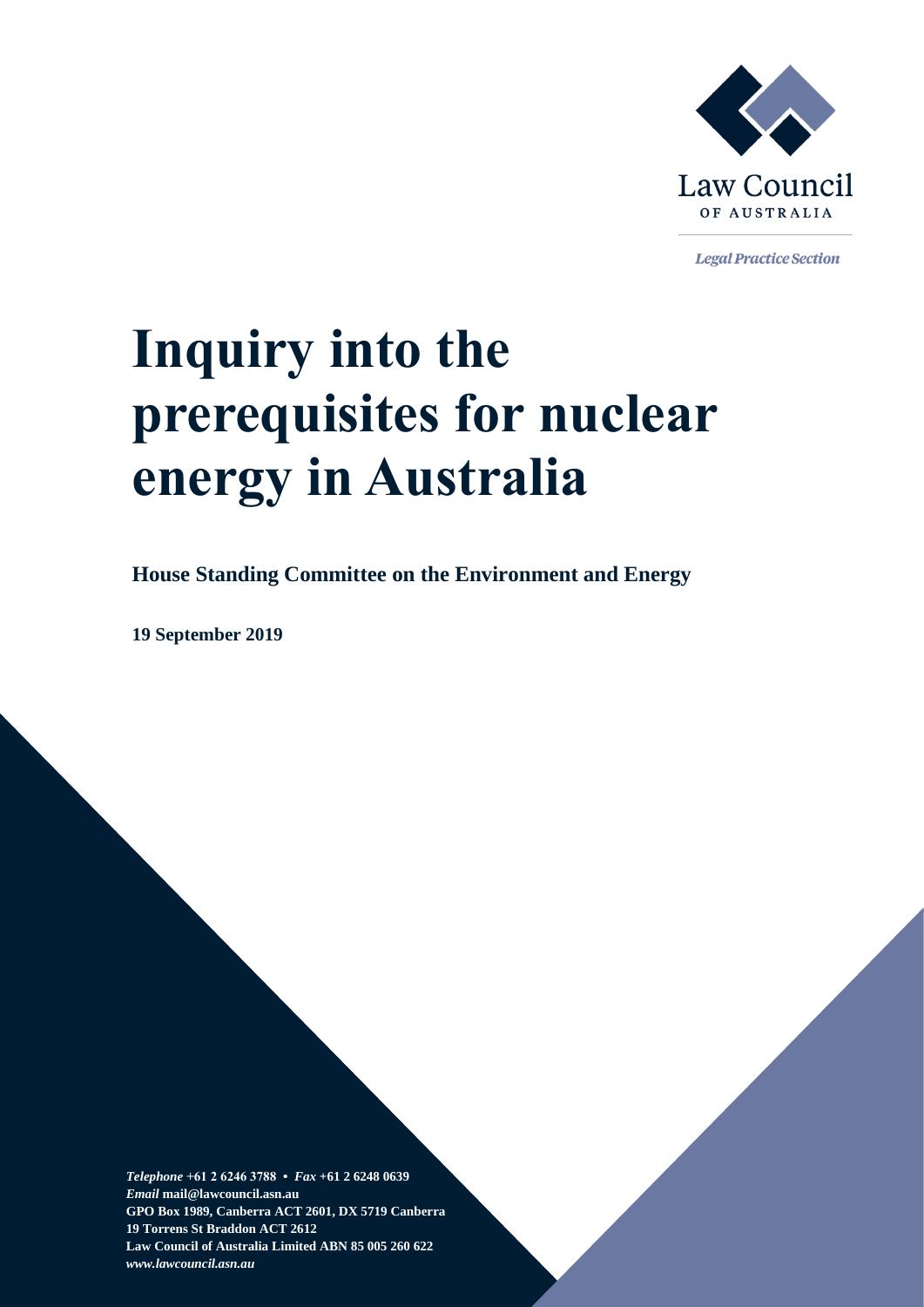

**Legal Practice Section** 

# **Inquiry into the prerequisites for nuclear energy in Australia**

**House Standing Committee on the Environment and Energy**

**19 September 2019**

*Telephone* **+61 2 6246 3788 •** *Fax* **+61 2 6248 0639**  *Email* **mail@lawcouncil.asn.au GPO Box 1989, Canberra ACT 2601, DX 5719 Canberra 19 Torrens St Braddon ACT 2612 Law Council of Australia Limited ABN 85 005 260 622** *www.lawcouncil.asn.au*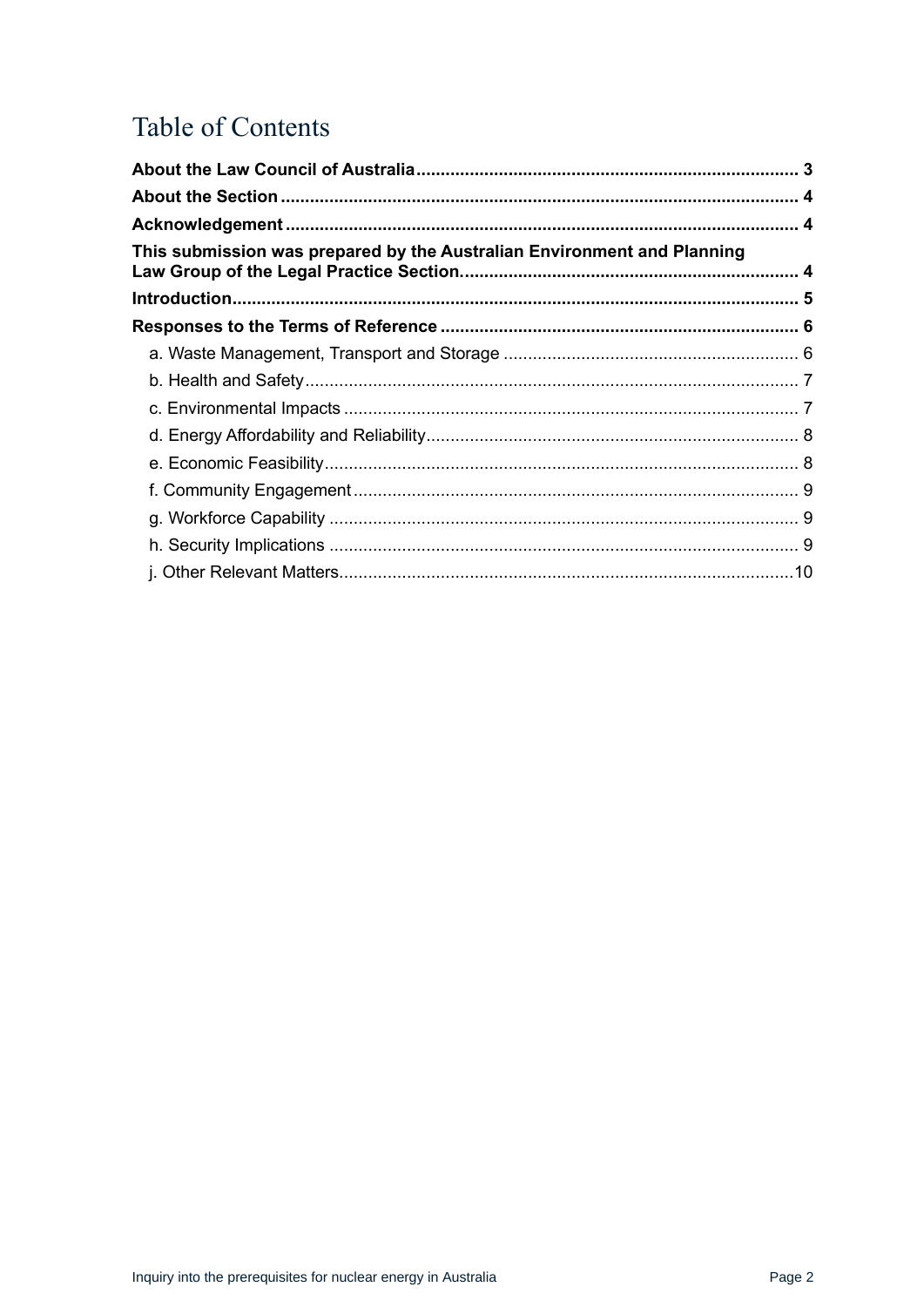# Table of Contents

| This submission was prepared by the Australian Environment and Planning |  |
|-------------------------------------------------------------------------|--|
|                                                                         |  |
|                                                                         |  |
|                                                                         |  |
|                                                                         |  |
|                                                                         |  |
|                                                                         |  |
|                                                                         |  |
|                                                                         |  |
|                                                                         |  |
|                                                                         |  |
|                                                                         |  |
|                                                                         |  |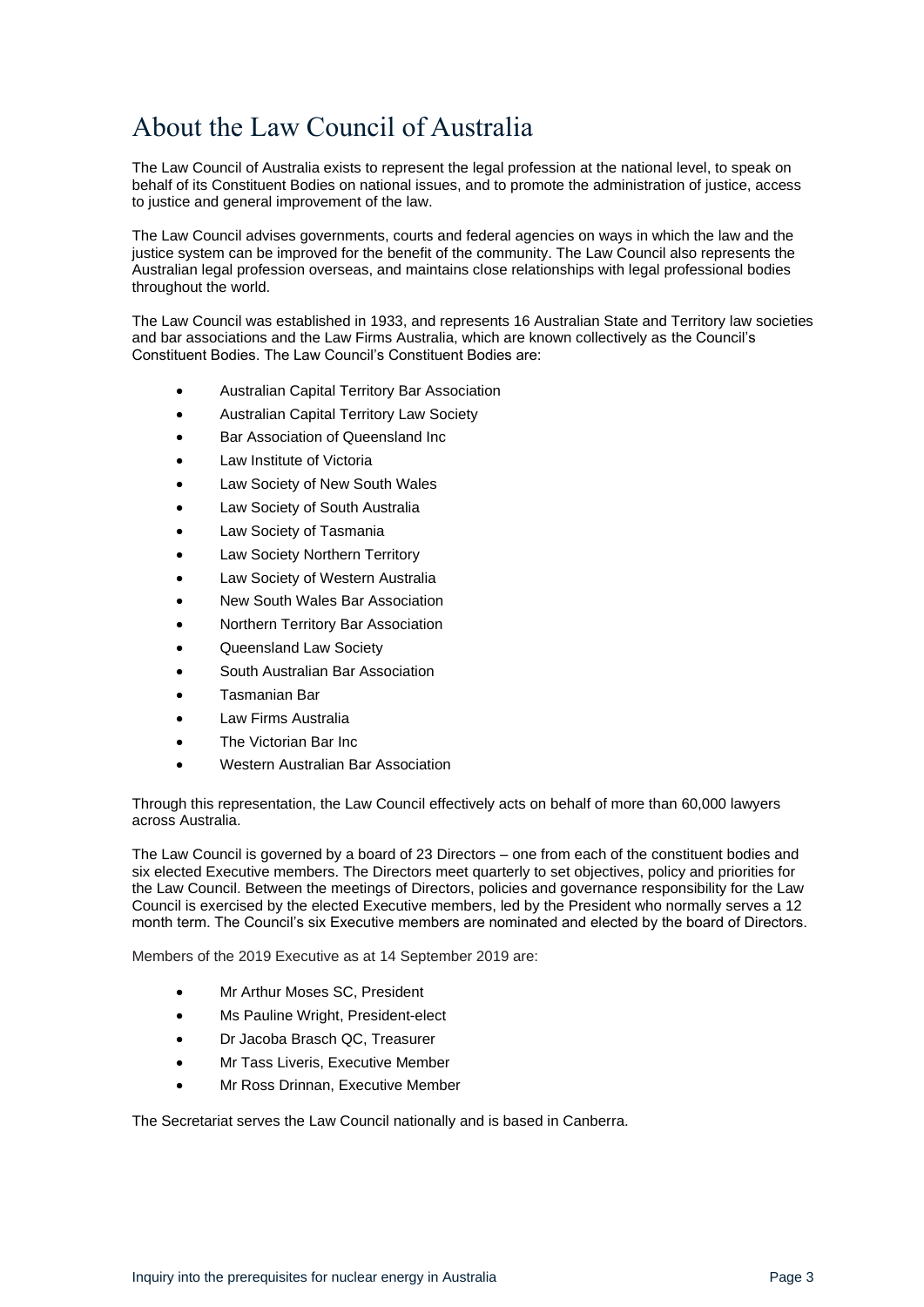# <span id="page-2-0"></span>About the Law Council of Australia

The Law Council of Australia exists to represent the legal profession at the national level, to speak on behalf of its Constituent Bodies on national issues, and to promote the administration of justice, access to justice and general improvement of the law.

The Law Council advises governments, courts and federal agencies on ways in which the law and the justice system can be improved for the benefit of the community. The Law Council also represents the Australian legal profession overseas, and maintains close relationships with legal professional bodies throughout the world.

The Law Council was established in 1933, and represents 16 Australian State and Territory law societies and bar associations and the Law Firms Australia, which are known collectively as the Council's Constituent Bodies. The Law Council's Constituent Bodies are:

- Australian Capital Territory Bar Association
- Australian Capital Territory Law Society
- Bar Association of Queensland Inc
- Law Institute of Victoria
- Law Society of New South Wales
- Law Society of South Australia
- Law Society of Tasmania
- Law Society Northern Territory
- Law Society of Western Australia
- New South Wales Bar Association
- Northern Territory Bar Association
- Queensland Law Society
- South Australian Bar Association
- Tasmanian Bar
- Law Firms Australia
- The Victorian Bar Inc
- Western Australian Bar Association

Through this representation, the Law Council effectively acts on behalf of more than 60,000 lawyers across Australia.

The Law Council is governed by a board of 23 Directors – one from each of the constituent bodies and six elected Executive members. The Directors meet quarterly to set objectives, policy and priorities for the Law Council. Between the meetings of Directors, policies and governance responsibility for the Law Council is exercised by the elected Executive members, led by the President who normally serves a 12 month term. The Council's six Executive members are nominated and elected by the board of Directors.

Members of the 2019 Executive as at 14 September 2019 are:

- Mr Arthur Moses SC, President
- Ms Pauline Wright, President-elect
- Dr Jacoba Brasch QC, Treasurer
- Mr Tass Liveris, Executive Member
- Mr Ross Drinnan, Executive Member

The Secretariat serves the Law Council nationally and is based in Canberra.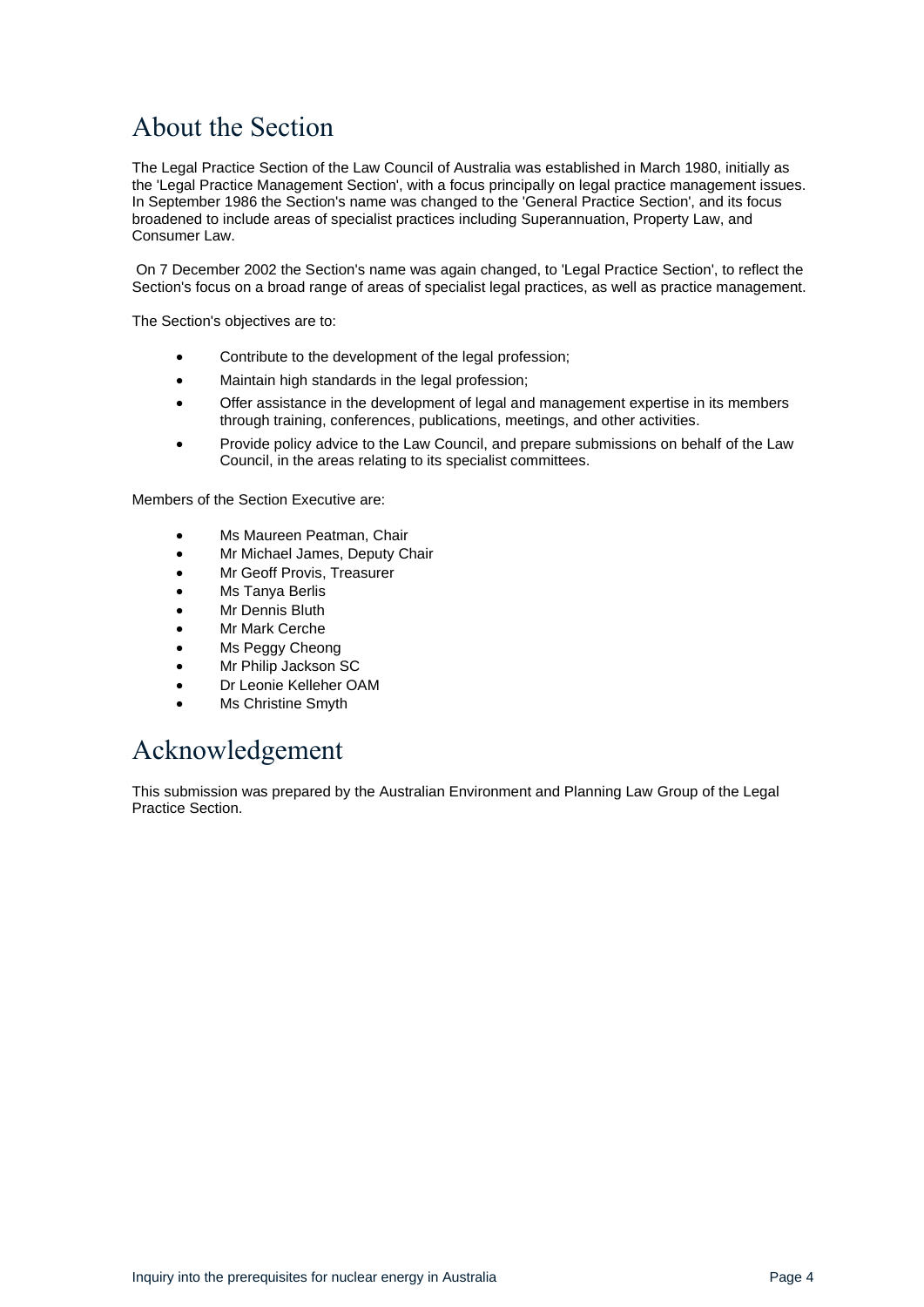## <span id="page-3-0"></span>About the Section

The Legal Practice Section of the Law Council of Australia was established in March 1980, initially as the 'Legal Practice Management Section', with a focus principally on legal practice management issues. In September 1986 the Section's name was changed to the 'General Practice Section', and its focus broadened to include areas of specialist practices including Superannuation, Property Law, and Consumer Law.

On 7 December 2002 the Section's name was again changed, to 'Legal Practice Section', to reflect the Section's focus on a broad range of areas of specialist legal practices, as well as practice management.

The Section's objectives are to:

- Contribute to the development of the legal profession;
- Maintain high standards in the legal profession;
- Offer assistance in the development of legal and management expertise in its members through training, conferences, publications, meetings, and other activities.
- Provide policy advice to the Law Council, and prepare submissions on behalf of the Law Council, in the areas relating to its specialist committees.

Members of the Section Executive are:

- Ms Maureen Peatman, Chair
- Mr Michael James, Deputy Chair
- Mr Geoff Provis, Treasurer
- Ms Tanya Berlis
- **Mr Dennis Bluth**
- **Mr Mark Cerche**
- Ms Peggy Cheong
- Mr Philip Jackson SC
- Dr Leonie Kelleher OAM
- **Ms Christine Smyth**

## <span id="page-3-1"></span>Acknowledgement

<span id="page-3-2"></span>This submission was prepared by the Australian Environment and Planning Law Group of the Legal Practice Section.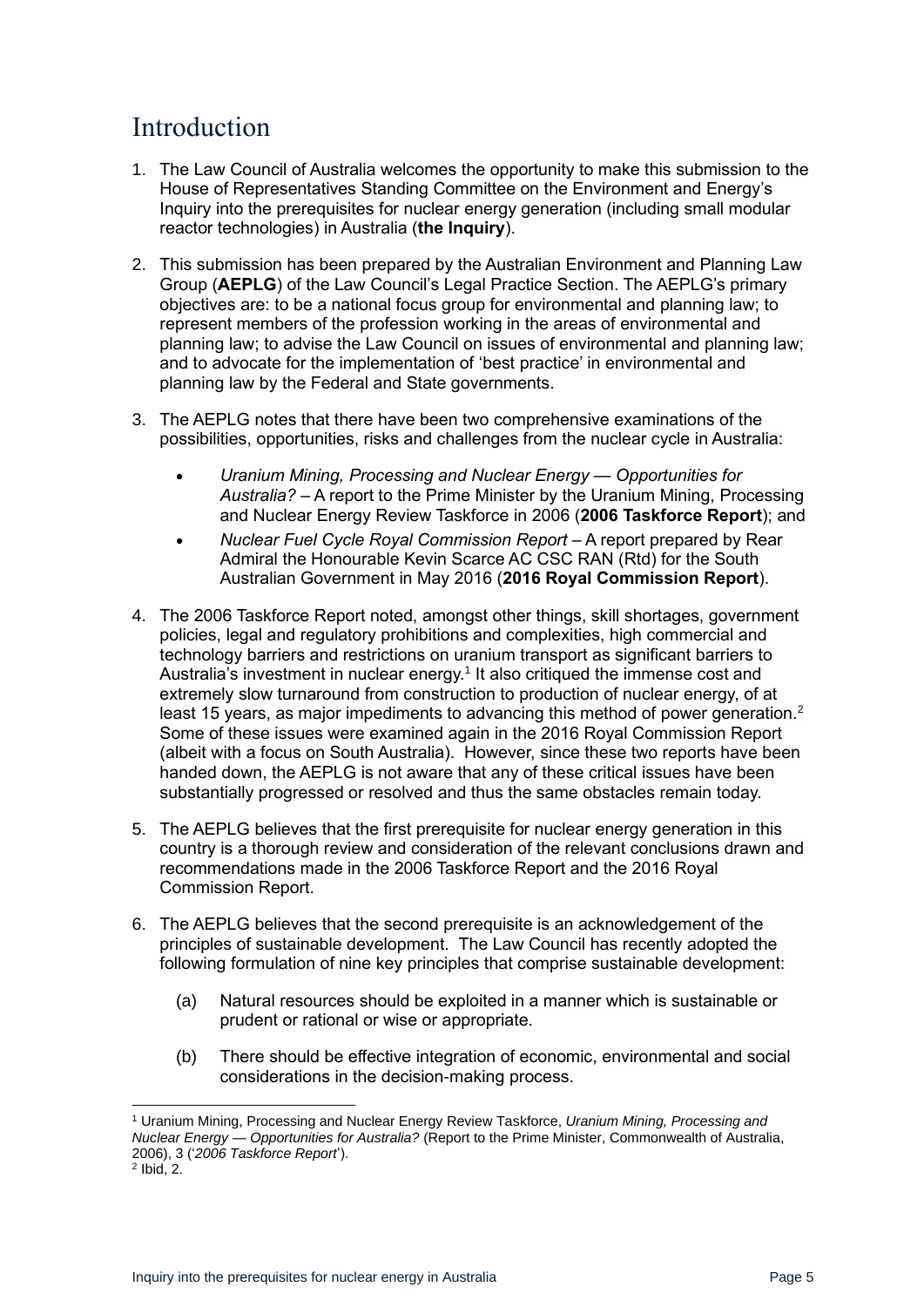# <span id="page-4-0"></span>Introduction

- 1. The Law Council of Australia welcomes the opportunity to make this submission to the House of Representatives Standing Committee on the Environment and Energy's Inquiry into the prerequisites for nuclear energy generation (including small modular reactor technologies) in Australia (**the Inquiry**).
- 2. This submission has been prepared by the Australian Environment and Planning Law Group (**AEPLG**) of the Law Council's Legal Practice Section. The AEPLG's primary objectives are: to be a national focus group for environmental and planning law; to represent members of the profession working in the areas of environmental and planning law; to advise the Law Council on issues of environmental and planning law; and to advocate for the implementation of 'best practice' in environmental and planning law by the Federal and State governments.
- 3. The AEPLG notes that there have been two comprehensive examinations of the possibilities, opportunities, risks and challenges from the nuclear cycle in Australia:
	- *Uranium Mining, Processing and Nuclear Energy — Opportunities for Australia?* – A report to the Prime Minister by the Uranium Mining, Processing and Nuclear Energy Review Taskforce in 2006 (**2006 Taskforce Report**); and
	- *Nuclear Fuel Cycle Royal Commission Report* A report prepared by Rear Admiral the Honourable Kevin Scarce AC CSC RAN (Rtd) for the South Australian Government in May 2016 (**2016 Royal Commission Report**).
- 4. The 2006 Taskforce Report noted, amongst other things, skill shortages, government policies, legal and regulatory prohibitions and complexities, high commercial and technology barriers and restrictions on uranium transport as significant barriers to Australia's investment in nuclear energy.<sup>1</sup> It also critiqued the immense cost and extremely slow turnaround from construction to production of nuclear energy, of at least 15 years, as major impediments to advancing this method of power generation.<sup>2</sup> Some of these issues were examined again in the 2016 Royal Commission Report (albeit with a focus on South Australia). However, since these two reports have been handed down, the AEPLG is not aware that any of these critical issues have been substantially progressed or resolved and thus the same obstacles remain today.
- 5. The AEPLG believes that the first prerequisite for nuclear energy generation in this country is a thorough review and consideration of the relevant conclusions drawn and recommendations made in the 2006 Taskforce Report and the 2016 Royal Commission Report.
- 6. The AEPLG believes that the second prerequisite is an acknowledgement of the principles of sustainable development. The Law Council has recently adopted the following formulation of nine key principles that comprise sustainable development:
	- (a) Natural resources should be exploited in a manner which is sustainable or prudent or rational or wise or appropriate.
	- (b) There should be effective integration of economic, environmental and social considerations in the decision-making process.

<sup>1</sup> Uranium Mining, Processing and Nuclear Energy Review Taskforce, *Uranium Mining, Processing and Nuclear Energy — Opportunities for Australia?* (Report to the Prime Minister, Commonwealth of Australia, 2006), 3 ('*2006 Taskforce Report*').

 $<sup>2</sup>$  lbid, 2.</sup>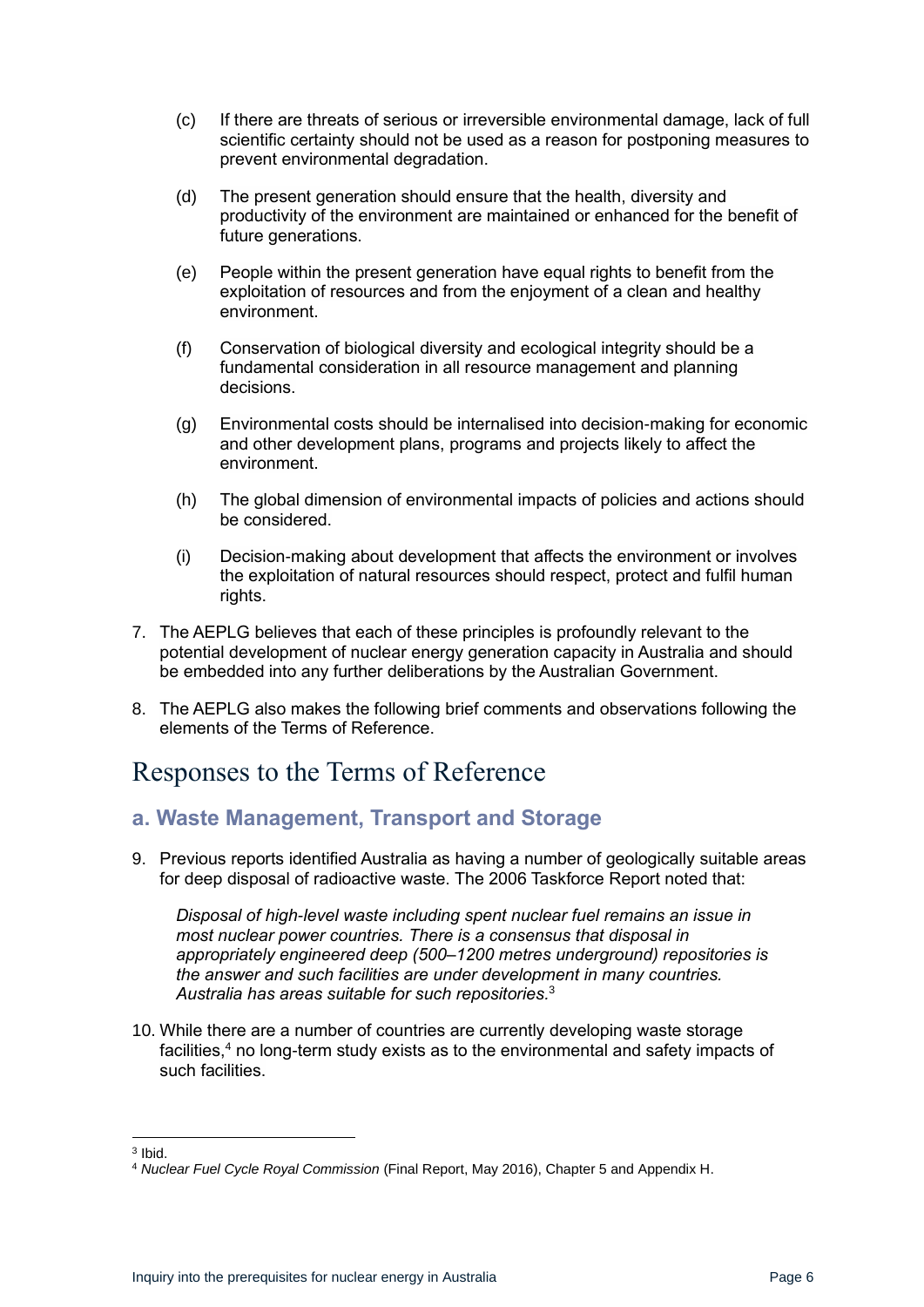- (c) If there are threats of serious or irreversible environmental damage, lack of full scientific certainty should not be used as a reason for postponing measures to prevent environmental degradation.
- (d) The present generation should ensure that the health, diversity and productivity of the environment are maintained or enhanced for the benefit of future generations.
- (e) People within the present generation have equal rights to benefit from the exploitation of resources and from the enjoyment of a clean and healthy environment.
- (f) Conservation of biological diversity and ecological integrity should be a fundamental consideration in all resource management and planning decisions.
- (g) Environmental costs should be internalised into decision-making for economic and other development plans, programs and projects likely to affect the environment.
- (h) The global dimension of environmental impacts of policies and actions should be considered.
- (i) Decision-making about development that affects the environment or involves the exploitation of natural resources should respect, protect and fulfil human rights.
- 7. The AEPLG believes that each of these principles is profoundly relevant to the potential development of nuclear energy generation capacity in Australia and should be embedded into any further deliberations by the Australian Government.
- 8. The AEPLG also makes the following brief comments and observations following the elements of the Terms of Reference.

## <span id="page-5-0"></span>Responses to the Terms of Reference

#### <span id="page-5-1"></span>**a. Waste Management, Transport and Storage**

9. Previous reports identified Australia as having a number of geologically suitable areas for deep disposal of radioactive waste. The 2006 Taskforce Report noted that:

*Disposal of high-level waste including spent nuclear fuel remains an issue in most nuclear power countries. There is a consensus that disposal in appropriately engineered deep (500–1200 metres underground) repositories is the answer and such facilities are under development in many countries. Australia has areas suitable for such repositories.* 3 

10. While there are a number of countries are currently developing waste storage facilities,<sup>4</sup> no long-term study exists as to the environmental and safety impacts of such facilities.

<sup>3</sup> Ibid.

<sup>4</sup> *Nuclear Fuel Cycle Royal Commission* (Final Report, May 2016), Chapter 5 and Appendix H.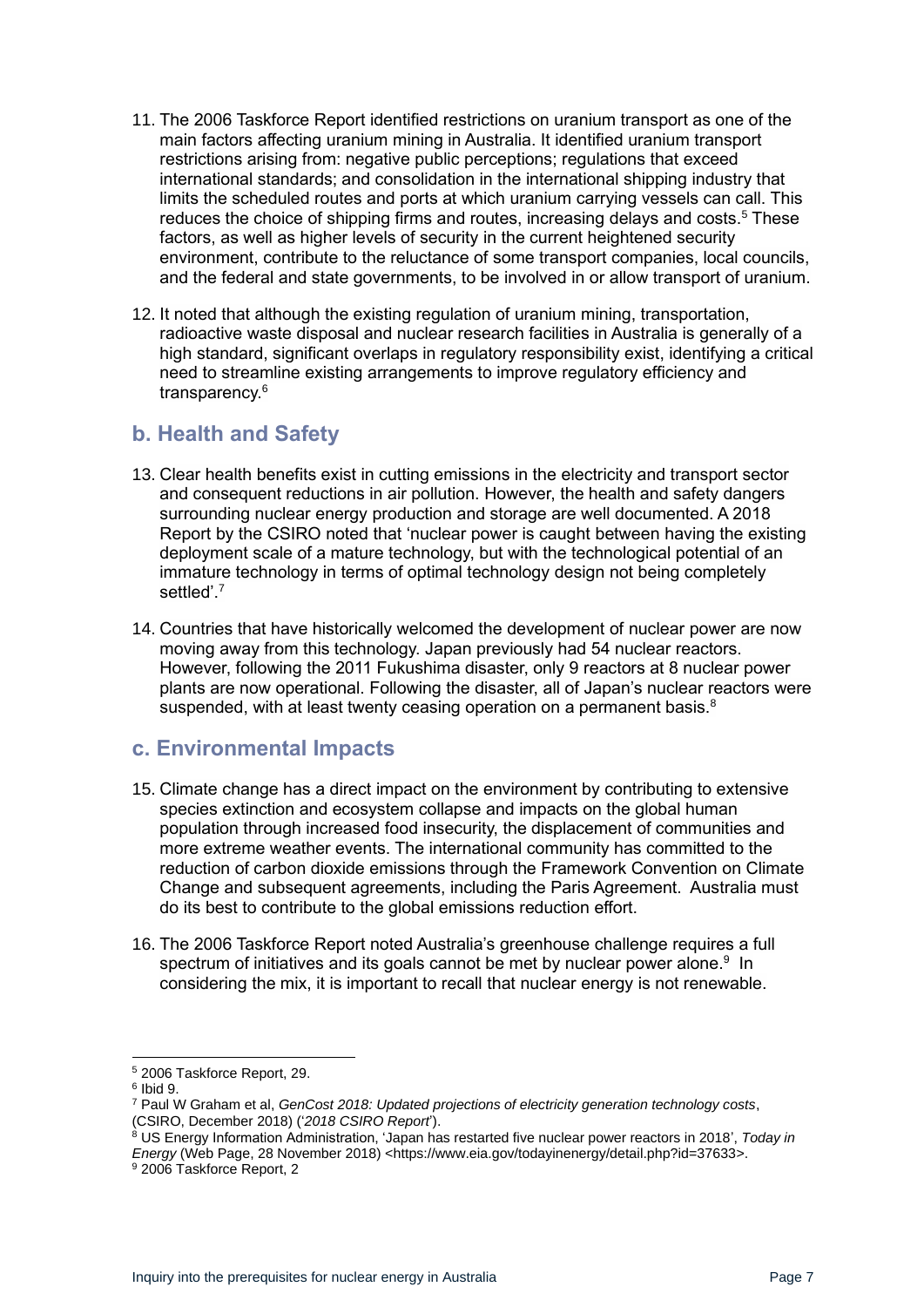- 11. The 2006 Taskforce Report identified restrictions on uranium transport as one of the main factors affecting uranium mining in Australia. It identified uranium transport restrictions arising from: negative public perceptions; regulations that exceed international standards; and consolidation in the international shipping industry that limits the scheduled routes and ports at which uranium carrying vessels can call. This reduces the choice of shipping firms and routes, increasing delays and costs.<sup>5</sup> These factors, as well as higher levels of security in the current heightened security environment, contribute to the reluctance of some transport companies, local councils, and the federal and state governments, to be involved in or allow transport of uranium.
- 12. It noted that although the existing regulation of uranium mining, transportation, radioactive waste disposal and nuclear research facilities in Australia is generally of a high standard, significant overlaps in regulatory responsibility exist, identifying a critical need to streamline existing arrangements to improve regulatory efficiency and transparency.<sup>6</sup>

#### <span id="page-6-0"></span>**b. Health and Safety**

- 13. Clear health benefits exist in cutting emissions in the electricity and transport sector and consequent reductions in air pollution. However, the health and safety dangers surrounding nuclear energy production and storage are well documented. A 2018 Report by the CSIRO noted that 'nuclear power is caught between having the existing deployment scale of a mature technology, but with the technological potential of an immature technology in terms of optimal technology design not being completely settled'.<sup>7</sup>
- 14. Countries that have historically welcomed the development of nuclear power are now moving away from this technology. Japan previously had 54 nuclear reactors. However, following the 2011 Fukushima disaster, only 9 reactors at 8 nuclear power plants are now operational. Following the disaster, all of Japan's nuclear reactors were suspended, with at least twenty ceasing operation on a permanent basis. $8$

#### <span id="page-6-1"></span>**c. Environmental Impacts**

- 15. Climate change has a direct impact on the environment by contributing to extensive species extinction and ecosystem collapse and impacts on the global human population through increased food insecurity, the displacement of communities and more extreme weather events. The international community has committed to the reduction of carbon dioxide emissions through the Framework Convention on Climate Change and subsequent agreements, including the Paris Agreement. Australia must do its best to contribute to the global emissions reduction effort.
- 16. The 2006 Taskforce Report noted Australia's greenhouse challenge requires a full spectrum of initiatives and its goals cannot be met by nuclear power alone.<sup>9</sup> In considering the mix, it is important to recall that nuclear energy is not renewable.

<sup>5</sup> 2006 Taskforce Report, 29.

<sup>6</sup> Ibid 9.

<sup>7</sup> Paul W Graham et al, *GenCost 2018: Updated projections of electricity generation technology costs*, (CSIRO, December 2018) ('*2018 CSIRO Report*').

<sup>8</sup> US Energy Information Administration, 'Japan has restarted five nuclear power reactors in 2018', *Today in Energy* (Web Page, 28 November 2018) <https://www.eia.gov/todayinenergy/detail.php?id=37633>. <sup>9</sup> 2006 Taskforce Report, 2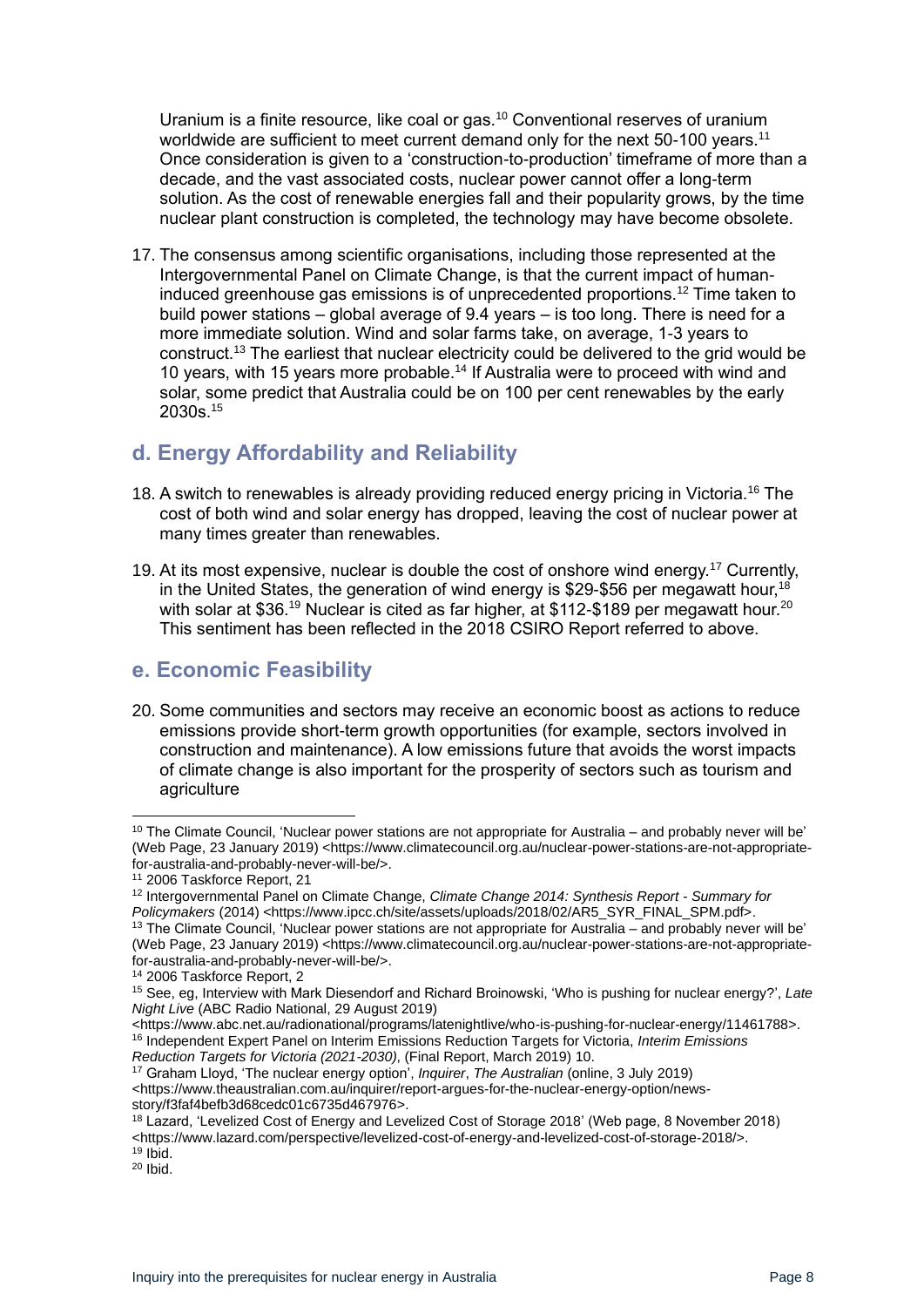Uranium is a finite resource, like coal or gas.<sup>10</sup> Conventional reserves of uranium worldwide are sufficient to meet current demand only for the next 50-100 years.<sup>11</sup> Once consideration is given to a 'construction-to-production' timeframe of more than a decade, and the vast associated costs, nuclear power cannot offer a long-term solution. As the cost of renewable energies fall and their popularity grows, by the time nuclear plant construction is completed, the technology may have become obsolete.

17. The consensus among scientific organisations, including those represented at the Intergovernmental Panel on Climate Change, is that the current impact of humaninduced greenhouse gas emissions is of unprecedented proportions.<sup>12</sup> Time taken to build power stations – global average of 9.4 years – is too long. There is need for a more immediate solution. Wind and solar farms take, on average, 1-3 years to construct.<sup>13</sup> The earliest that nuclear electricity could be delivered to the grid would be 10 years, with 15 years more probable.<sup>14</sup> If Australia were to proceed with wind and solar, some predict that Australia could be on 100 per cent renewables by the early 2030s.<sup>15</sup>

## <span id="page-7-0"></span>**d. Energy Affordability and Reliability**

- 18. A switch to renewables is already providing reduced energy pricing in Victoria.<sup>16</sup> The cost of both wind and solar energy has dropped, leaving the cost of nuclear power at many times greater than renewables.
- 19. At its most expensive, nuclear is double the cost of onshore wind energy.<sup>17</sup> Currently, in the United States, the generation of wind energy is \$29-\$56 per megawatt hour,<sup>18</sup> with solar at \$36.<sup>19</sup> Nuclear is cited as far higher, at \$112-\$189 per megawatt hour.<sup>20</sup> This sentiment has been reflected in the 2018 CSIRO Report referred to above.

#### <span id="page-7-1"></span>**e. Economic Feasibility**

20. Some communities and sectors may receive an economic boost as actions to reduce emissions provide short-term growth opportunities (for example, sectors involved in construction and maintenance). A low emissions future that avoids the worst impacts of climate change is also important for the prosperity of sectors such as tourism and agriculture

 $10$  The Climate Council, 'Nuclear power stations are not appropriate for Australia – and probably never will be' (Web Page, 23 January 2019) <https://www.climatecouncil.org.au/nuclear-power-stations-are-not-appropriatefor-australia-and-probably-never-will-be/>.

<sup>11</sup> 2006 Taskforce Report, 21

<sup>12</sup> Intergovernmental Panel on Climate Change, *Climate Change 2014: Synthesis Report - Summary for Policymakers* (2014) <https://www.ipcc.ch/site/assets/uploads/2018/02/AR5\_SYR\_FINAL\_SPM.pdf>.  $13$  The Climate Council, 'Nuclear power stations are not appropriate for Australia – and probably never will be'

<sup>(</sup>Web Page, 23 January 2019) <https://www.climatecouncil.org.au/nuclear-power-stations-are-not-appropriatefor-australia-and-probably-never-will-be/>.

<sup>14</sup> 2006 Taskforce Report, 2

<sup>15</sup> See, eg, Interview with Mark Diesendorf and Richard Broinowski, 'Who is pushing for nuclear energy?', *Late Night Live* (ABC Radio National, 29 August 2019)

<sup>&</sup>lt;https://www.abc.net.au/radionational/programs/latenightlive/who-is-pushing-for-nuclear-energy/11461788>. <sup>16</sup> Independent Expert Panel on Interim Emissions Reduction Targets for Victoria, *Interim Emissions Reduction Targets for Victoria (2021-2030)*, (Final Report, March 2019) 10.

<sup>17</sup> Graham Lloyd, 'The nuclear energy option', *Inquirer*, *The Australian* (online, 3 July 2019) <https://www.theaustralian.com.au/inquirer/report-argues-for-the-nuclear-energy-option/newsstory/f3faf4befb3d68cedc01c6735d467976>.

<sup>&</sup>lt;sup>18</sup> Lazard, 'Levelized Cost of Energy and Levelized Cost of Storage 2018' (Web page, 8 November 2018) <https://www.lazard.com/perspective/levelized-cost-of-energy-and-levelized-cost-of-storage-2018/>.

 $19$  Ibid.

 $20$  Ibid.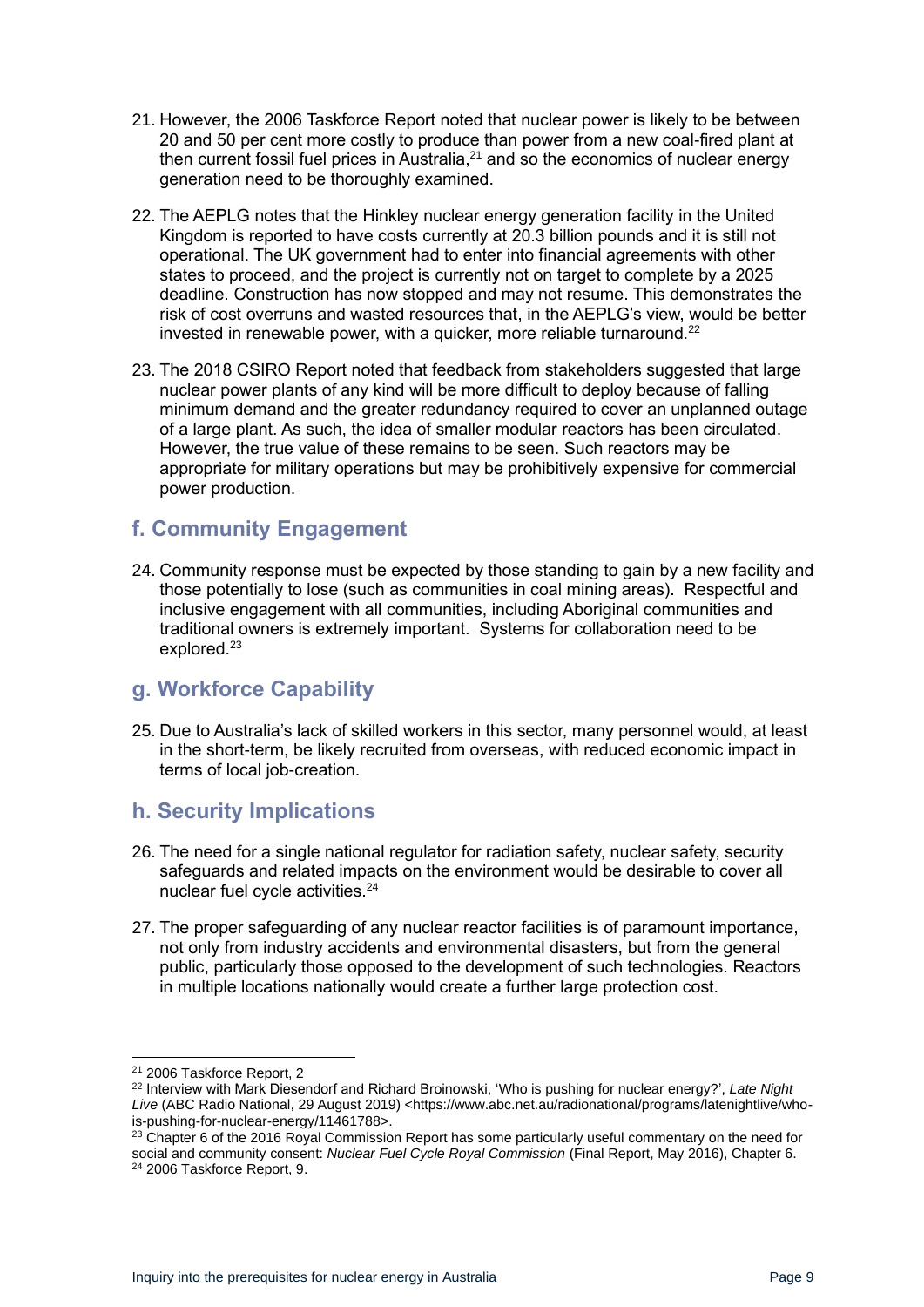- 21. However, the 2006 Taskforce Report noted that nuclear power is likely to be between 20 and 50 per cent more costly to produce than power from a new coal-fired plant at then current fossil fuel prices in Australia,<sup>21</sup> and so the economics of nuclear energy generation need to be thoroughly examined.
- 22. The AEPLG notes that the Hinkley nuclear energy generation facility in the United Kingdom is reported to have costs currently at 20.3 billion pounds and it is still not operational. The UK government had to enter into financial agreements with other states to proceed, and the project is currently not on target to complete by a 2025 deadline. Construction has now stopped and may not resume. This demonstrates the risk of cost overruns and wasted resources that, in the AEPLG's view, would be better invested in renewable power, with a quicker, more reliable turnaround.<sup>22</sup>
- 23. The 2018 CSIRO Report noted that feedback from stakeholders suggested that large nuclear power plants of any kind will be more difficult to deploy because of falling minimum demand and the greater redundancy required to cover an unplanned outage of a large plant. As such, the idea of smaller modular reactors has been circulated. However, the true value of these remains to be seen. Such reactors may be appropriate for military operations but may be prohibitively expensive for commercial power production.

#### <span id="page-8-0"></span>**f. Community Engagement**

24. Community response must be expected by those standing to gain by a new facility and those potentially to lose (such as communities in coal mining areas). Respectful and inclusive engagement with all communities, including Aboriginal communities and traditional owners is extremely important. Systems for collaboration need to be explored.<sup>23</sup>

#### <span id="page-8-1"></span>**g. Workforce Capability**

25. Due to Australia's lack of skilled workers in this sector, many personnel would, at least in the short-term, be likely recruited from overseas, with reduced economic impact in terms of local job-creation.

#### <span id="page-8-2"></span>**h. Security Implications**

- 26. The need for a single national regulator for radiation safety, nuclear safety, security safeguards and related impacts on the environment would be desirable to cover all nuclear fuel cycle activities.<sup>24</sup>
- 27. The proper safeguarding of any nuclear reactor facilities is of paramount importance, not only from industry accidents and environmental disasters, but from the general public, particularly those opposed to the development of such technologies. Reactors in multiple locations nationally would create a further large protection cost.

<sup>21</sup> 2006 Taskforce Report, 2

<sup>22</sup> Interview with Mark Diesendorf and Richard Broinowski, 'Who is pushing for nuclear energy?', *Late Night*  Live (ABC Radio National, 29 August 2019) <https://www.abc.net.au/radionational/programs/latenightlive/whois-pushing-for-nuclear-energy/11461788>.

 $23$  Chapter 6 of the 2016 Royal Commission Report has some particularly useful commentary on the need for social and community consent: *Nuclear Fuel Cycle Royal Commission* (Final Report, May 2016), Chapter 6.

<sup>24</sup> 2006 Taskforce Report, 9.